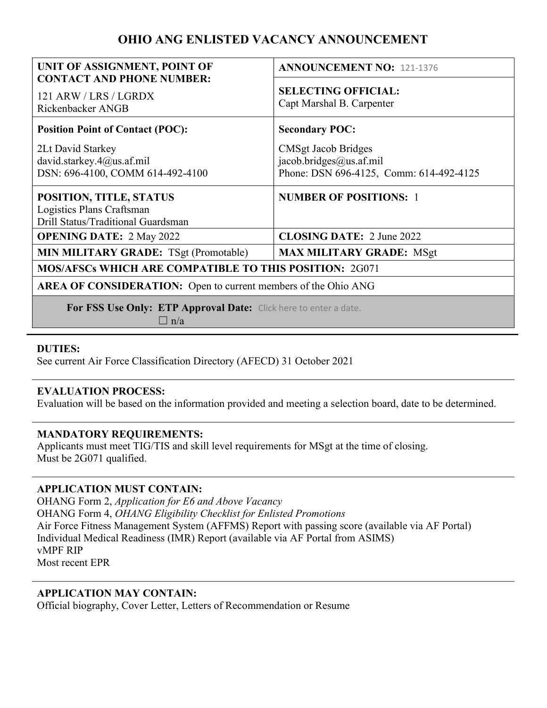# OHIO ANG ENLISTED VACANCY ANNOUNCEMENT

| UNIT OF ASSIGNMENT, POINT OF<br><b>CONTACT AND PHONE NUMBER:</b>                           | <b>ANNOUNCEMENT NO: 121-1376</b>                                                                 |
|--------------------------------------------------------------------------------------------|--------------------------------------------------------------------------------------------------|
| 121 ARW / LRS / LGRDX<br>Rickenbacker ANGB                                                 | <b>SELECTING OFFICIAL:</b><br>Capt Marshal B. Carpenter                                          |
| <b>Position Point of Contact (POC):</b>                                                    | <b>Secondary POC:</b>                                                                            |
| 2Lt David Starkey<br>david.starkey.4@us.af.mil<br>DSN: 696-4100, COMM 614-492-4100         | <b>CMSgt Jacob Bridges</b><br>jacob.bridges@us.af.mil<br>Phone: DSN 696-4125, Comm: 614-492-4125 |
| POSITION, TITLE, STATUS<br>Logistics Plans Craftsman<br>Drill Status/Traditional Guardsman | <b>NUMBER OF POSITIONS: 1</b>                                                                    |
| <b>OPENING DATE: 2 May 2022</b>                                                            | <b>CLOSING DATE: 2 June 2022</b>                                                                 |
| <b>MIN MILITARY GRADE:</b> TSgt (Promotable)                                               | <b>MAX MILITARY GRADE: MSgt</b>                                                                  |
| <b>MOS/AFSCs WHICH ARE COMPATIBLE TO THIS POSITION: 2G071</b>                              |                                                                                                  |
| <b>AREA OF CONSIDERATION:</b> Open to current members of the Ohio ANG                      |                                                                                                  |
| For FSS Use Only: ETP Approval Date: Click here to enter a date.<br>$\Box$ n/a             |                                                                                                  |

### DUTIES:

See current Air Force Classification Directory (AFECD) 31 October 2021

### EVALUATION PROCESS:

Evaluation will be based on the information provided and meeting a selection board, date to be determined.

#### MANDATORY REQUIREMENTS:

Applicants must meet TIG/TIS and skill level requirements for MSgt at the time of closing. Must be 2G071 qualified.

### APPLICATION MUST CONTAIN:

OHANG Form 2, Application for E6 and Above Vacancy OHANG Form 4, OHANG Eligibility Checklist for Enlisted Promotions Air Force Fitness Management System (AFFMS) Report with passing score (available via AF Portal) Individual Medical Readiness (IMR) Report (available via AF Portal from ASIMS) vMPF RIP Most recent EPR

#### APPLICATION MAY CONTAIN:

Official biography, Cover Letter, Letters of Recommendation or Resume